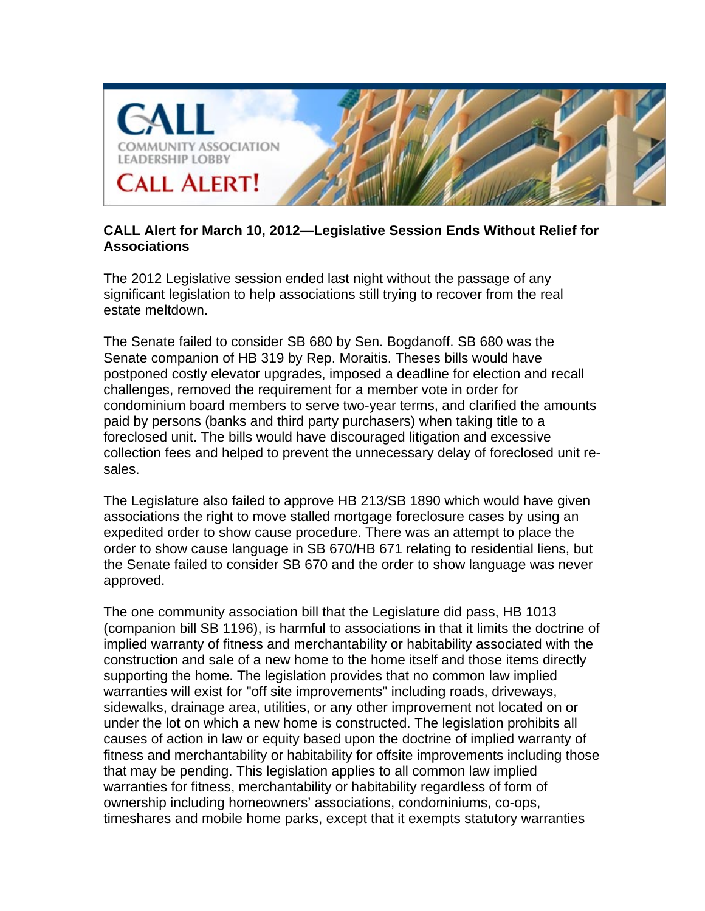

## **CALL Alert for March 10, 2012—Legislative Session Ends Without Relief for Associations**

The 2012 Legislative session ended last night without the passage of any significant legislation to help associations still trying to recover from the real estate meltdown.

The Senate failed to consider SB 680 by Sen. Bogdanoff. SB 680 was the Senate companion of HB 319 by Rep. Moraitis. Theses bills would have postponed costly elevator upgrades, imposed a deadline for election and recall challenges, removed the requirement for a member vote in order for condominium board members to serve two-year terms, and clarified the amounts paid by persons (banks and third party purchasers) when taking title to a foreclosed unit. The bills would have discouraged litigation and excessive collection fees and helped to prevent the unnecessary delay of foreclosed unit resales.

The Legislature also failed to approve HB 213/SB 1890 which would have given associations the right to move stalled mortgage foreclosure cases by using an expedited order to show cause procedure. There was an attempt to place the order to show cause language in SB 670/HB 671 relating to residential liens, but the Senate failed to consider SB 670 and the order to show language was never approved.

The one community association bill that the Legislature did pass, HB 1013 (companion bill SB 1196), is harmful to associations in that it limits the doctrine of implied warranty of fitness and merchantability or habitability associated with the construction and sale of a new home to the home itself and those items directly supporting the home. The legislation provides that no common law implied warranties will exist for "off site improvements" including roads, driveways, sidewalks, drainage area, utilities, or any other improvement not located on or under the lot on which a new home is constructed. The legislation prohibits all causes of action in law or equity based upon the doctrine of implied warranty of fitness and merchantability or habitability for offsite improvements including those that may be pending. This legislation applies to all common law implied warranties for fitness, merchantability or habitability regardless of form of ownership including homeowners' associations, condominiums, co-ops, timeshares and mobile home parks, except that it exempts statutory warranties